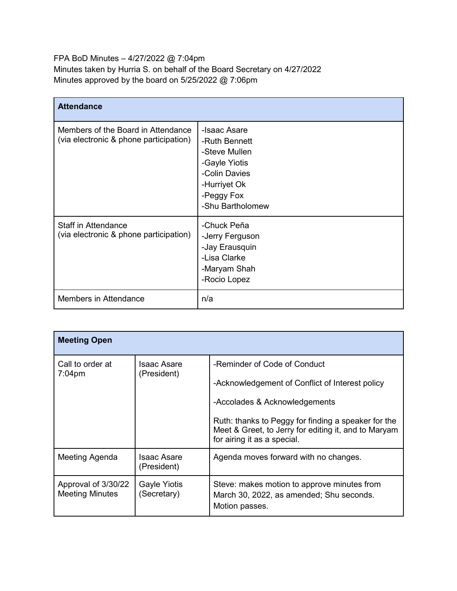FPA BoD Minutes – 4/27/2022 @ 7:04pm Minutes taken by Hurria S. on behalf of the Board Secretary on 4/27/2022 Minutes approved by the board on 5/25/2022 @ 7:06pm

| <b>Attendance</b>                                                            |                                                                                                                                    |
|------------------------------------------------------------------------------|------------------------------------------------------------------------------------------------------------------------------------|
| Members of the Board in Attendance<br>(via electronic & phone participation) | -Isaac Asare<br>-Ruth Bennett<br>-Steve Mullen<br>-Gayle Yiotis<br>-Colin Davies<br>-Hurriyet Ok<br>-Peggy Fox<br>-Shu Bartholomew |
| <b>Staff in Attendance</b><br>(via electronic & phone participation)         | -Chuck Peña<br>-Jerry Ferguson<br>-Jay Erausquin<br>-Lisa Clarke<br>-Maryam Shah<br>-Rocio Lopez                                   |
| Members in Attendance                                                        | n/a                                                                                                                                |

| <b>Meeting Open</b>                           |                                   |                                                                                                                                                                                                                                                                |
|-----------------------------------------------|-----------------------------------|----------------------------------------------------------------------------------------------------------------------------------------------------------------------------------------------------------------------------------------------------------------|
| Call to order at<br>$7:04$ pm                 | <b>Isaac Asare</b><br>(President) | -Reminder of Code of Conduct<br>-Acknowledgement of Conflict of Interest policy<br>-Accolades & Acknowledgements<br>Ruth: thanks to Peggy for finding a speaker for the<br>Meet & Greet, to Jerry for editing it, and to Maryam<br>for airing it as a special. |
| Meeting Agenda                                | <b>Isaac Asare</b><br>(President) | Agenda moves forward with no changes.                                                                                                                                                                                                                          |
| Approval of 3/30/22<br><b>Meeting Minutes</b> | Gayle Yiotis<br>(Secretary)       | Steve: makes motion to approve minutes from<br>March 30, 2022, as amended; Shu seconds.<br>Motion passes.                                                                                                                                                      |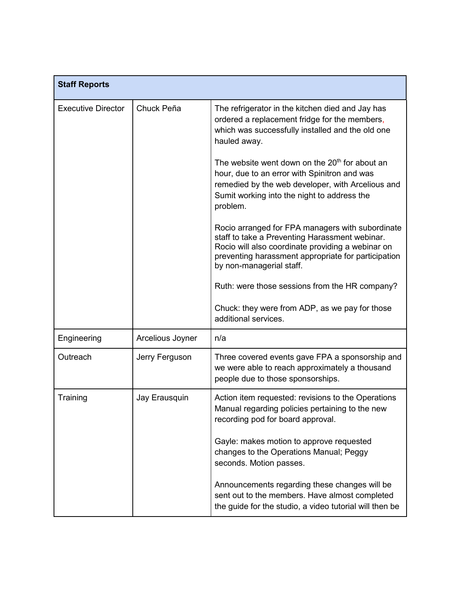| <b>Staff Reports</b>                    |                  |                                                                                                                                                                                                                                            |
|-----------------------------------------|------------------|--------------------------------------------------------------------------------------------------------------------------------------------------------------------------------------------------------------------------------------------|
| Chuck Peña<br><b>Executive Director</b> |                  | The refrigerator in the kitchen died and Jay has<br>ordered a replacement fridge for the members,<br>which was successfully installed and the old one<br>hauled away.                                                                      |
|                                         |                  | The website went down on the 20 <sup>th</sup> for about an<br>hour, due to an error with Spinitron and was<br>remedied by the web developer, with Arcelious and<br>Sumit working into the night to address the<br>problem.                 |
|                                         |                  | Rocio arranged for FPA managers with subordinate<br>staff to take a Preventing Harassment webinar.<br>Rocio will also coordinate providing a webinar on<br>preventing harassment appropriate for participation<br>by non-managerial staff. |
|                                         |                  | Ruth: were those sessions from the HR company?                                                                                                                                                                                             |
|                                         |                  | Chuck: they were from ADP, as we pay for those<br>additional services.                                                                                                                                                                     |
| Engineering                             | Arcelious Joyner | n/a                                                                                                                                                                                                                                        |
| Outreach                                | Jerry Ferguson   | Three covered events gave FPA a sponsorship and<br>we were able to reach approximately a thousand<br>people due to those sponsorships.                                                                                                     |
| Training                                | Jay Erausquin    | Action item requested: revisions to the Operations<br>Manual regarding policies pertaining to the new<br>recording pod for board approval.                                                                                                 |
|                                         |                  | Gayle: makes motion to approve requested<br>changes to the Operations Manual; Peggy<br>seconds. Motion passes.                                                                                                                             |
|                                         |                  | Announcements regarding these changes will be<br>sent out to the members. Have almost completed<br>the guide for the studio, a video tutorial will then be                                                                                 |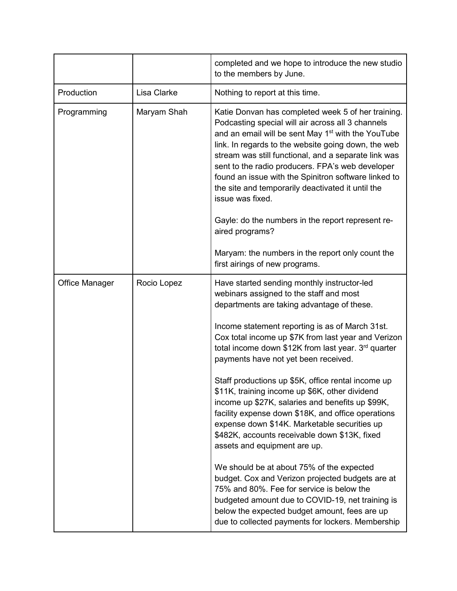|                       |             | completed and we hope to introduce the new studio<br>to the members by June.                                                                                                                                                                                                                                                                                                                                                                                                  |
|-----------------------|-------------|-------------------------------------------------------------------------------------------------------------------------------------------------------------------------------------------------------------------------------------------------------------------------------------------------------------------------------------------------------------------------------------------------------------------------------------------------------------------------------|
| Production            | Lisa Clarke | Nothing to report at this time.                                                                                                                                                                                                                                                                                                                                                                                                                                               |
| Programming           | Maryam Shah | Katie Donvan has completed week 5 of her training.<br>Podcasting special will air across all 3 channels<br>and an email will be sent May 1 <sup>st</sup> with the YouTube<br>link. In regards to the website going down, the web<br>stream was still functional, and a separate link was<br>sent to the radio producers. FPA's web developer<br>found an issue with the Spinitron software linked to<br>the site and temporarily deactivated it until the<br>issue was fixed. |
|                       |             | Gayle: do the numbers in the report represent re-<br>aired programs?                                                                                                                                                                                                                                                                                                                                                                                                          |
|                       |             | Maryam: the numbers in the report only count the<br>first airings of new programs.                                                                                                                                                                                                                                                                                                                                                                                            |
| <b>Office Manager</b> | Rocio Lopez | Have started sending monthly instructor-led<br>webinars assigned to the staff and most<br>departments are taking advantage of these.                                                                                                                                                                                                                                                                                                                                          |
|                       |             | Income statement reporting is as of March 31st.<br>Cox total income up \$7K from last year and Verizon<br>total income down \$12K from last year. 3 <sup>rd</sup> quarter<br>payments have not yet been received.                                                                                                                                                                                                                                                             |
|                       |             | Staff productions up \$5K, office rental income up<br>\$11K, training income up \$6K, other dividend<br>income up \$27K, salaries and benefits up \$99K,<br>facility expense down \$18K, and office operations<br>expense down \$14K. Marketable securities up<br>\$482K, accounts receivable down \$13K, fixed<br>assets and equipment are up.                                                                                                                               |
|                       |             | We should be at about 75% of the expected<br>budget. Cox and Verizon projected budgets are at<br>75% and 80%. Fee for service is below the<br>budgeted amount due to COVID-19, net training is<br>below the expected budget amount, fees are up<br>due to collected payments for lockers. Membership                                                                                                                                                                          |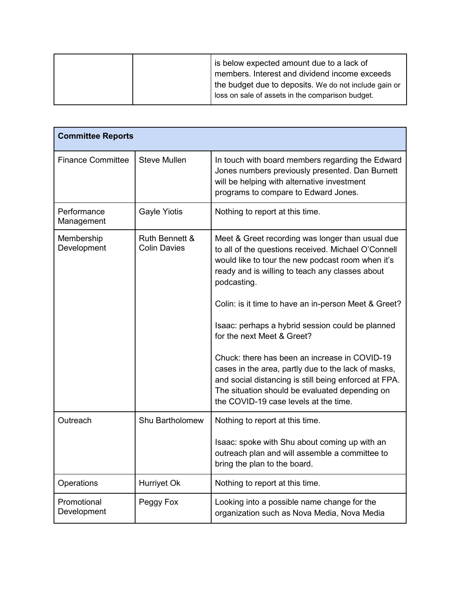|  | is below expected amount due to a lack of<br>members. Interest and dividend income exceeds                |
|--|-----------------------------------------------------------------------------------------------------------|
|  | the budget due to deposits. We do not include gain or<br>loss on sale of assets in the comparison budget. |

| <b>Committee Reports</b>   |                                                  |                                                                                                                                                                                                                                                                                                                                                                                                                           |
|----------------------------|--------------------------------------------------|---------------------------------------------------------------------------------------------------------------------------------------------------------------------------------------------------------------------------------------------------------------------------------------------------------------------------------------------------------------------------------------------------------------------------|
| <b>Finance Committee</b>   | <b>Steve Mullen</b>                              | In touch with board members regarding the Edward<br>Jones numbers previously presented. Dan Burnett<br>will be helping with alternative investment<br>programs to compare to Edward Jones.                                                                                                                                                                                                                                |
| Performance<br>Management  | Gayle Yiotis                                     | Nothing to report at this time.                                                                                                                                                                                                                                                                                                                                                                                           |
| Membership<br>Development  | <b>Ruth Bennett &amp;</b><br><b>Colin Davies</b> | Meet & Greet recording was longer than usual due<br>to all of the questions received. Michael O'Connell<br>would like to tour the new podcast room when it's<br>ready and is willing to teach any classes about<br>podcasting.<br>Colin: is it time to have an in-person Meet & Greet?<br>Isaac: perhaps a hybrid session could be planned<br>for the next Meet & Greet?<br>Chuck: there has been an increase in COVID-19 |
|                            |                                                  | cases in the area, partly due to the lack of masks,<br>and social distancing is still being enforced at FPA.<br>The situation should be evaluated depending on<br>the COVID-19 case levels at the time.                                                                                                                                                                                                                   |
| Outreach                   | Shu Bartholomew                                  | Nothing to report at this time.<br>Isaac: spoke with Shu about coming up with an<br>outreach plan and will assemble a committee to                                                                                                                                                                                                                                                                                        |
|                            |                                                  | bring the plan to the board.                                                                                                                                                                                                                                                                                                                                                                                              |
| Operations                 | Hurriyet Ok                                      | Nothing to report at this time.                                                                                                                                                                                                                                                                                                                                                                                           |
| Promotional<br>Development | Peggy Fox                                        | Looking into a possible name change for the<br>organization such as Nova Media, Nova Media                                                                                                                                                                                                                                                                                                                                |